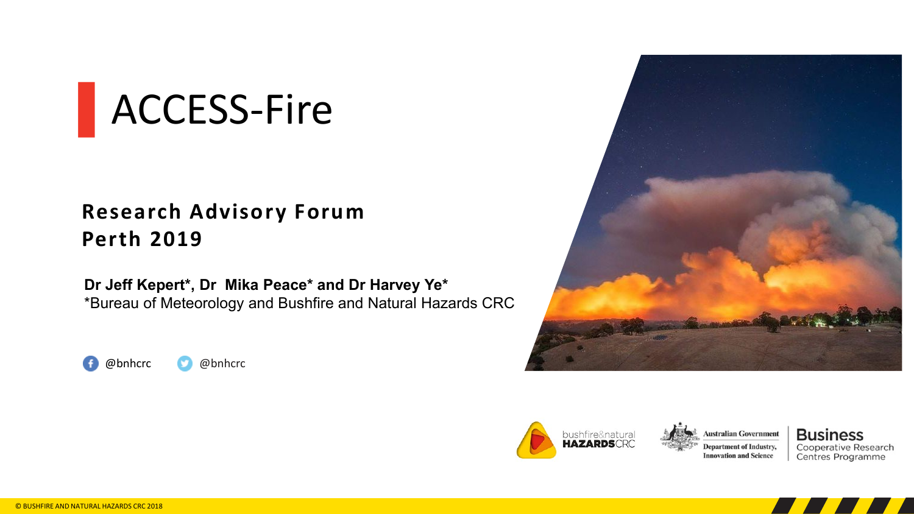# ▌ACCESS-Fire

### **Research Advisory Forum Perth 2019**

**Dr Jeff Kepert\*, Dr Mika Peace\* and Dr Harvey Ye\*** \*Bureau of Meteorology and Bushfire and Natural Hazards CRC









**Business** Cooperative Research Centres Programme

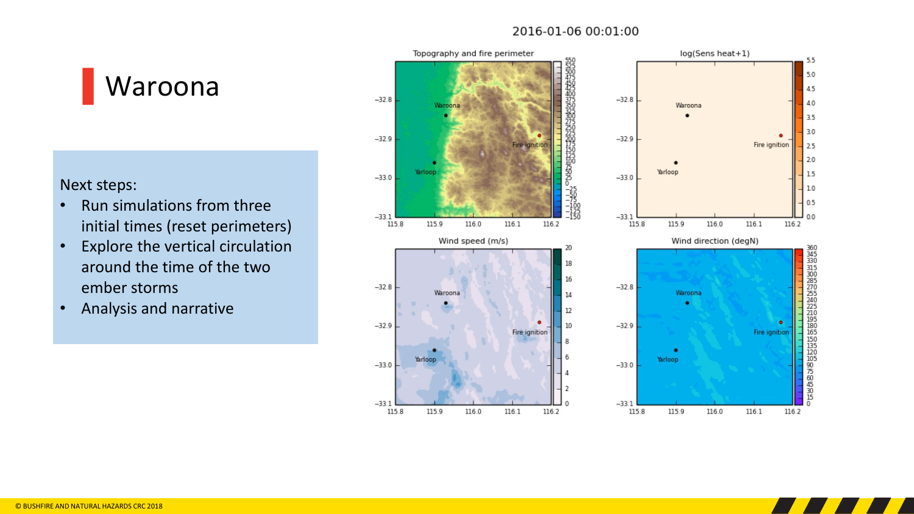#### 2016-01-06 00:01:00

▌Waroona

Next steps:

- Run simulations from three initial times (reset perimeters)
- Explore the vertical circulation around the time of the two ember storms
- Analysis and narrative





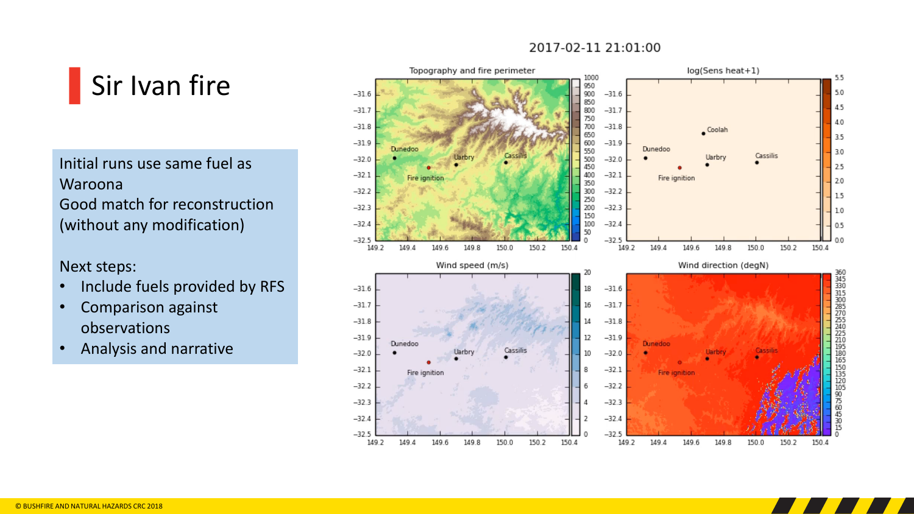#### 2017-02-11 21:01:00



Initial runs use same fuel as Waroona Good match for reconstruction (without any modification)

Next steps:

- Include fuels provided by RFS
- Comparison against observations
- Analysis and narrative



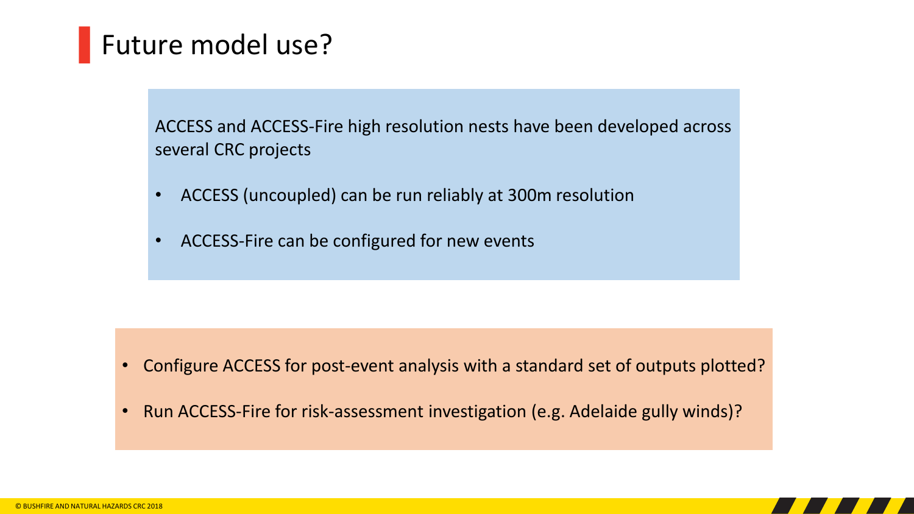### Future model use?

ACCESS and ACCESS-Fire high resolution nests have been developed across several CRC projects

- ACCESS (uncoupled) can be run reliably at 300m resolution
- ACCESS-Fire can be configured for new events

- Configure ACCESS for post-event analysis with a standard set of outputs plotted?
- Run ACCESS-Fire for risk-assessment investigation (e.g. Adelaide gully winds)?

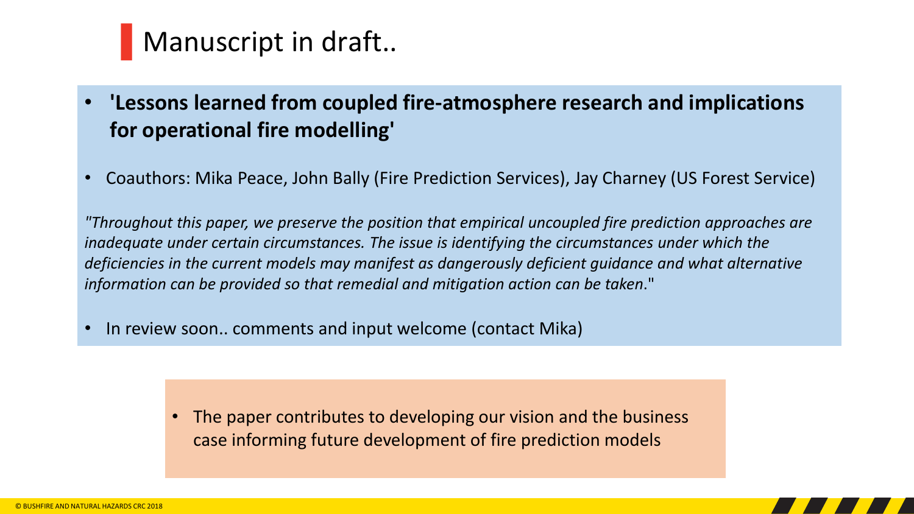### Manuscript in draft..

• **'Lessons learned from coupled fire-atmosphere research and implications for operational fire modelling'** 

• Coauthors: Mika Peace, John Bally (Fire Prediction Services), Jay Charney (US Forest Service)

*"Throughout this paper, we preserve the position that empirical uncoupled fire prediction approaches are inadequate under certain circumstances. The issue is identifying the circumstances under which the deficiencies in the current models may manifest as dangerously deficient guidance and what alternative information can be provided so that remedial and mitigation action can be taken*."

In review soon.. comments and input welcome (contact Mika)

• The paper contributes to developing our vision and the business case informing future development of fire prediction models